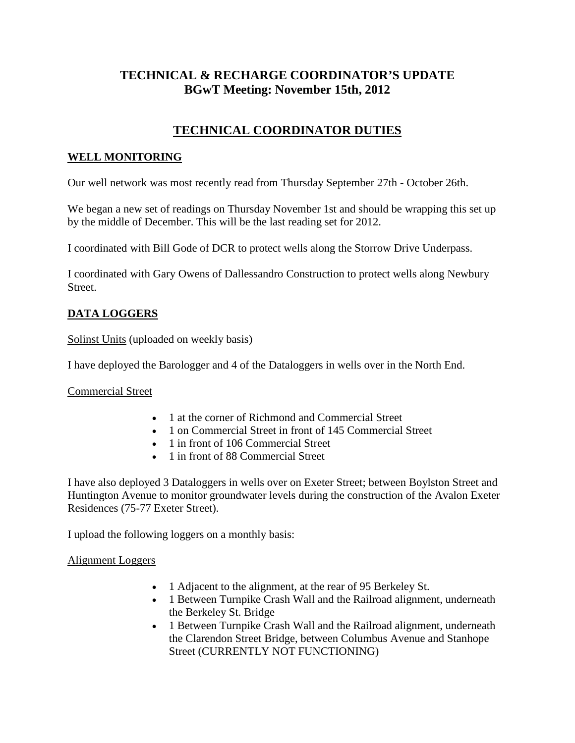# **TECHNICAL & RECHARGE COORDINATOR'S UPDATE BGwT Meeting: November 15th, 2012**

# **TECHNICAL COORDINATOR DUTIES**

### **WELL MONITORING**

Our well network was most recently read from Thursday September 27th - October 26th.

We began a new set of readings on Thursday November 1st and should be wrapping this set up by the middle of December. This will be the last reading set for 2012.

I coordinated with Bill Gode of DCR to protect wells along the Storrow Drive Underpass.

I coordinated with Gary Owens of Dallessandro Construction to protect wells along Newbury Street.

## **DATA LOGGERS**

Solinst Units (uploaded on weekly basis)

I have deployed the Barologger and 4 of the Dataloggers in wells over in the North End.

Commercial Street

- 1 at the corner of Richmond and Commercial Street
- 1 on Commercial Street in front of 145 Commercial Street
- 1 in front of 106 Commercial Street
- 1 in front of 88 Commercial Street

I have also deployed 3 Dataloggers in wells over on Exeter Street; between Boylston Street and Huntington Avenue to monitor groundwater levels during the construction of the Avalon Exeter Residences (75-77 Exeter Street).

I upload the following loggers on a monthly basis:

#### Alignment Loggers

- 1 Adjacent to the alignment, at the rear of 95 Berkeley St.
- 1 Between Turnpike Crash Wall and the Railroad alignment, underneath the Berkeley St. Bridge
- 1 Between Turnpike Crash Wall and the Railroad alignment, underneath the Clarendon Street Bridge, between Columbus Avenue and Stanhope Street (CURRENTLY NOT FUNCTIONING)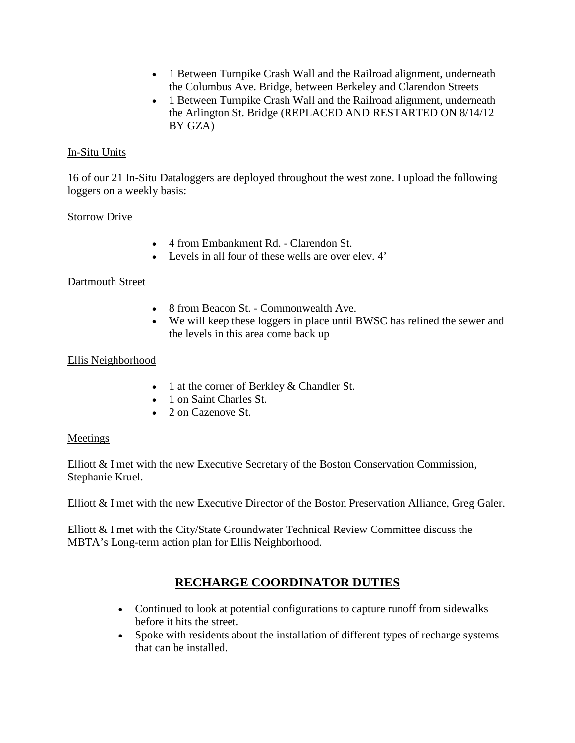- 1 Between Turnpike Crash Wall and the Railroad alignment, underneath the Columbus Ave. Bridge, between Berkeley and Clarendon Streets
- 1 Between Turnpike Crash Wall and the Railroad alignment, underneath the Arlington St. Bridge (REPLACED AND RESTARTED ON 8/14/12 BY GZA)

### In-Situ Units

16 of our 21 In-Situ Dataloggers are deployed throughout the west zone. I upload the following loggers on a weekly basis:

#### Storrow Drive

- 4 from Embankment Rd. Clarendon St.
- Levels in all four of these wells are over elev. 4'

#### Dartmouth Street

- 8 from Beacon St. Commonwealth Ave.
- We will keep these loggers in place until BWSC has relined the sewer and the levels in this area come back up

#### Ellis Neighborhood

- 1 at the corner of Berkley & Chandler St.
- 1 on Saint Charles St.
- 2 on Cazenove St.

#### **Meetings**

Elliott & I met with the new Executive Secretary of the Boston Conservation Commission, Stephanie Kruel.

Elliott & I met with the new Executive Director of the Boston Preservation Alliance, Greg Galer.

Elliott & I met with the City/State Groundwater Technical Review Committee discuss the MBTA's Long-term action plan for Ellis Neighborhood.

# **RECHARGE COORDINATOR DUTIES**

- Continued to look at potential configurations to capture runoff from sidewalks before it hits the street.
- Spoke with residents about the installation of different types of recharge systems that can be installed.